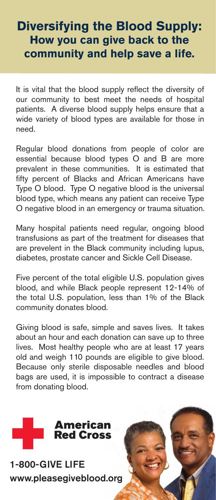# **Diversifying the Blood Supply: How you can give back to the community and help save a life.**

It is vital that the blood supply reflect the diversity of our community to best meet the needs of hospital patients. A diverse blood supply helps ensure that a wide variety of blood types are available for those in need.

Regular blood donations from people of color are essential because blood types O and B are more prevalent in these communities. It is estimated that fifty percent of Blacks and African Americans have Type O blood. Type O negative blood is the universal blood type, which means any patient can receive Type O negative blood in an emergency or trauma situation.

Many hospital patients need regular, ongoing blood transfusions as part of the treatment for diseases that are prevelent in the Black community including lupus, diabetes, prostate cancer and Sickle Cell Disease.

Five percent of the total eligible U.S. population gives blood, and while Black people represent 12-14% of the total U.S. population, less than 1% of the Black community donates blood.

Giving blood is safe, simple and saves lives. It takes about an hour and each donation can save up to three lives. Most healthy people who are at least 17 years old and weigh 110 pounds are eligible to give blood. Because only sterile disposable needles and blood bags are used, it is impossible to contract a disease from donating blood.



1-800-GIVE LIFE www.pleasegiveblood.org